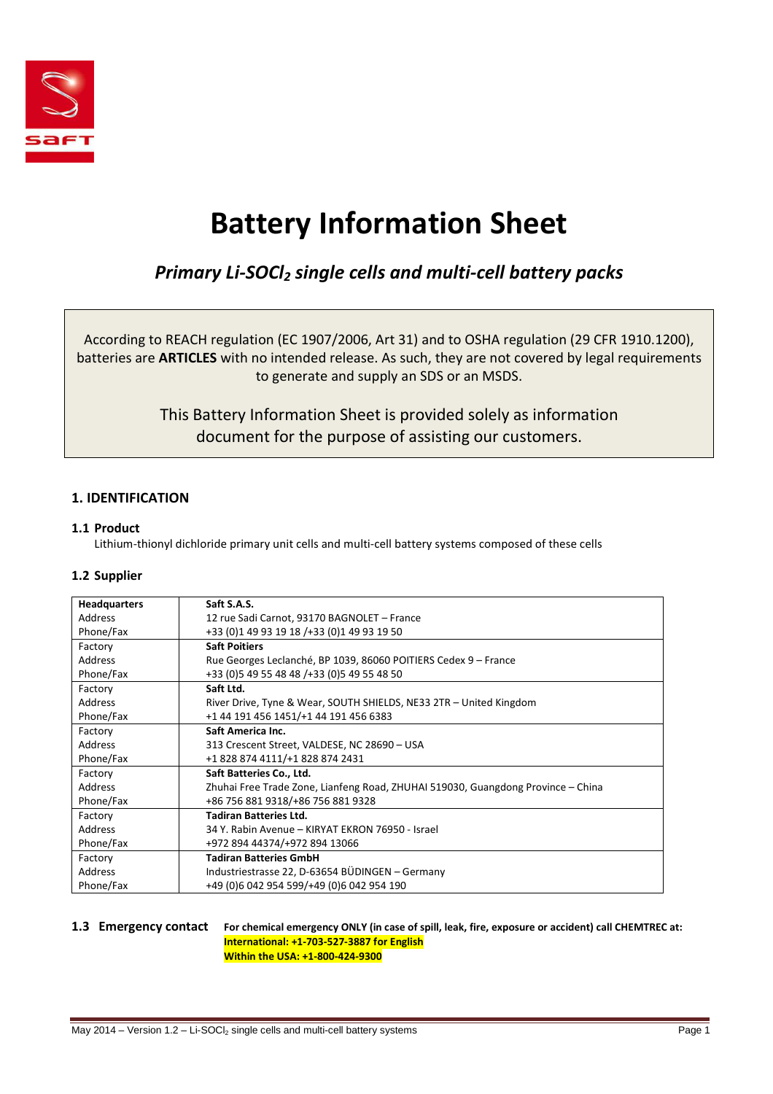

# **Battery Information Sheet**

## *Primary Li-SOCl2 single cells and multi-cell battery packs*

According to REACH regulation (EC 1907/2006, Art 31) and to OSHA regulation (29 CFR 1910.1200), batteries are **ARTICLES** with no intended release. As such, they are not covered by legal requirements to generate and supply an SDS or an MSDS.

> This Battery Information Sheet is provided solely as information document for the purpose of assisting our customers.

### **1. IDENTIFICATION**

#### **1.1 Product**

Lithium-thionyl dichloride primary unit cells and multi-cell battery systems composed of these cells

#### **1.2 Supplier**

| <b>Headquarters</b> | Saft S.A.S.                                                                      |
|---------------------|----------------------------------------------------------------------------------|
| Address             | 12 rue Sadi Carnot, 93170 BAGNOLET - France                                      |
| Phone/Fax           | +33 (0) 1 49 93 19 18 / + 33 (0) 1 49 93 19 50                                   |
| Factory             | <b>Saft Poitiers</b>                                                             |
| Address             | Rue Georges Leclanché, BP 1039, 86060 POITIERS Cedex 9 - France                  |
| Phone/Fax           | +33 (0) 5 49 55 48 48 / + 33 (0) 5 49 55 48 50                                   |
| Factory             | Saft Ltd.                                                                        |
| Address             | River Drive, Tyne & Wear, SOUTH SHIELDS, NE33 2TR - United Kingdom               |
| Phone/Fax           | +1 44 191 456 1451/+1 44 191 456 6383                                            |
| Factory             | Saft America Inc.                                                                |
| Address             | 313 Crescent Street, VALDESE, NC 28690 - USA                                     |
| Phone/Fax           | +18288744111/+18288742431                                                        |
| Factory             | Saft Batteries Co., Ltd.                                                         |
| Address             | Zhuhai Free Trade Zone, Lianfeng Road, ZHUHAI 519030, Guangdong Province – China |
| Phone/Fax           | +86 756 881 9318/+86 756 881 9328                                                |
| Factory             | <b>Tadiran Batteries Ltd.</b>                                                    |
| Address             | 34 Y. Rabin Avenue – KIRYAT EKRON 76950 - Israel                                 |
| Phone/Fax           | +972 894 44374/+972 894 13066                                                    |
| Factory             | <b>Tadiran Batteries GmbH</b>                                                    |
| Address             | Industriestrasse 22, D-63654 BÜDINGEN - Germany                                  |
| Phone/Fax           | +49 (0)6 042 954 599/+49 (0)6 042 954 190                                        |

**1.3 Emergency contact For chemical emergency ONLY (in case of spill, leak, fire, exposure or accident) call CHEMTREC at: International: +1-703-527-3887 for English Within the USA: +1-800-424-9300**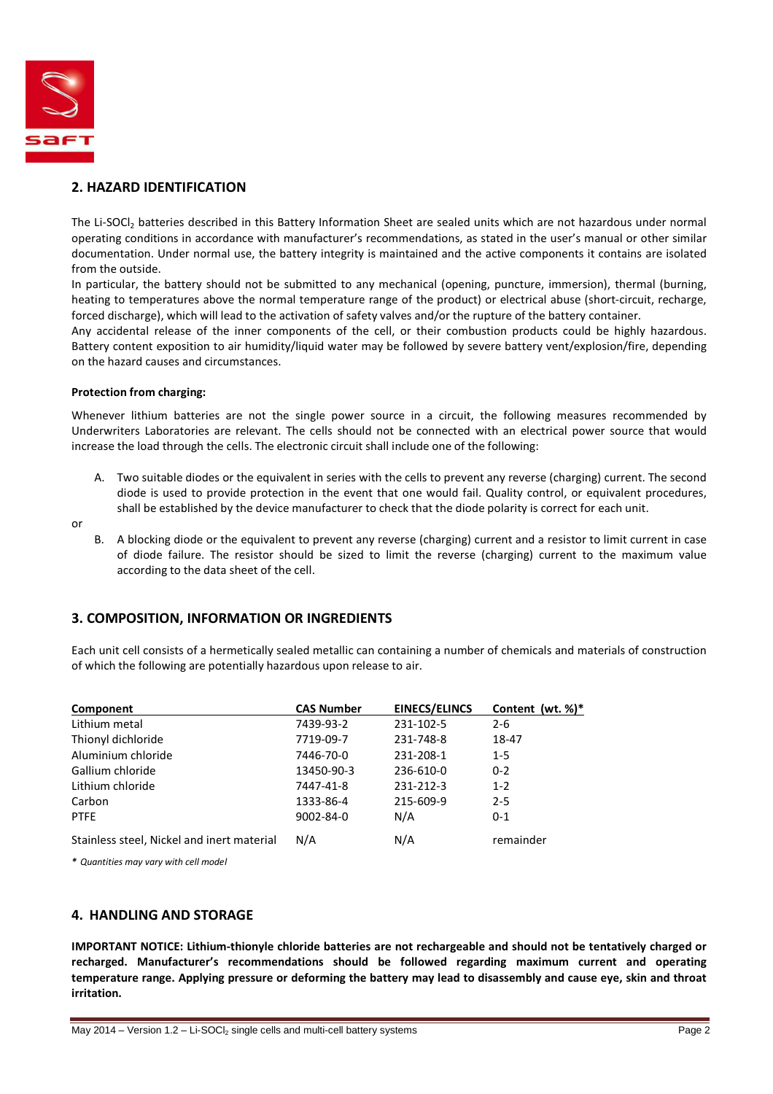

#### **2. HAZARD IDENTIFICATION**

The Li-SOCI<sub>2</sub> batteries described in this Battery Information Sheet are sealed units which are not hazardous under normal operating conditions in accordance with manufacturer's recommendations, as stated in the user's manual or other similar documentation. Under normal use, the battery integrity is maintained and the active components it contains are isolated from the outside.

In particular, the battery should not be submitted to any mechanical (opening, puncture, immersion), thermal (burning, heating to temperatures above the normal temperature range of the product) or electrical abuse (short-circuit, recharge, forced discharge), which will lead to the activation of safety valves and/or the rupture of the battery container.

Any accidental release of the inner components of the cell, or their combustion products could be highly hazardous. Battery content exposition to air humidity/liquid water may be followed by severe battery vent/explosion/fire, depending on the hazard causes and circumstances.

#### **Protection from charging:**

Whenever lithium batteries are not the single power source in a circuit, the following measures recommended by Underwriters Laboratories are relevant. The cells should not be connected with an electrical power source that would increase the load through the cells. The electronic circuit shall include one of the following:

- A. Two suitable diodes or the equivalent in series with the cells to prevent any reverse (charging) current. The second diode is used to provide protection in the event that one would fail. Quality control, or equivalent procedures, shall be established by the device manufacturer to check that the diode polarity is correct for each unit.
- or
- B. A blocking diode or the equivalent to prevent any reverse (charging) current and a resistor to limit current in case of diode failure. The resistor should be sized to limit the reverse (charging) current to the maximum value according to the data sheet of the cell.

#### **3. COMPOSITION, INFORMATION OR INGREDIENTS**

Each unit cell consists of a hermetically sealed metallic can containing a number of chemicals and materials of construction of which the following are potentially hazardous upon release to air.

| Component                                  | <b>CAS Number</b> | <b>EINECS/ELINCS</b> | Content (wt. $%$ )* |
|--------------------------------------------|-------------------|----------------------|---------------------|
| Lithium metal                              | 7439-93-2         | 231-102-5            | $2 - 6$             |
| Thionyl dichloride                         | 7719-09-7         | 231-748-8            | 18-47               |
| Aluminium chloride                         | 7446-70-0         | 231-208-1            | $1 - 5$             |
| Gallium chloride                           | 13450-90-3        | 236-610-0            | $0 - 2$             |
| Lithium chloride                           | 7447-41-8         | 231-212-3            | $1 - 2$             |
| Carbon                                     | 1333-86-4         | 215-609-9            | $2 - 5$             |
| <b>PTFE</b>                                | 9002-84-0         | N/A                  | $0 - 1$             |
| Stainless steel, Nickel and inert material | N/A               | N/A                  | remainder           |

*\* Quantities may vary with cell model* 

#### **4. HANDLING AND STORAGE**

**IMPORTANT NOTICE: Lithium-thionyle chloride batteries are not rechargeable and should not be tentatively charged or recharged. Manufacturer's recommendations should be followed regarding maximum current and operating temperature range. Applying pressure or deforming the battery may lead to disassembly and cause eye, skin and throat irritation.**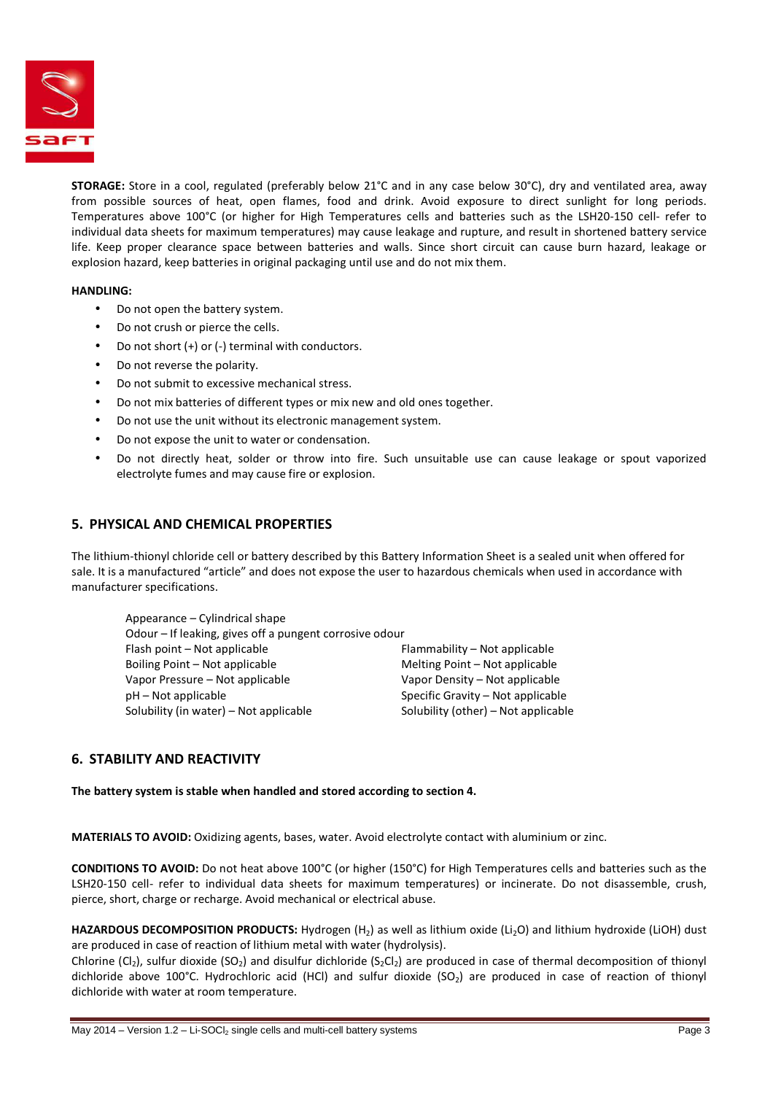

**STORAGE:** Store in a cool, regulated (preferably below 21°C and in any case below 30°C), dry and ventilated area, away from possible sources of heat, open flames, food and drink. Avoid exposure to direct sunlight for long periods. Temperatures above 100°C (or higher for High Temperatures cells and batteries such as the LSH20-150 cell- refer to individual data sheets for maximum temperatures) may cause leakage and rupture, and result in shortened battery service life. Keep proper clearance space between batteries and walls. Since short circuit can cause burn hazard, leakage or explosion hazard, keep batteries in original packaging until use and do not mix them.

#### **HANDLING:**

- Do not open the battery system.
- Do not crush or pierce the cells.
- Do not short  $(+)$  or  $(-)$  terminal with conductors.
- Do not reverse the polarity.
- Do not submit to excessive mechanical stress.
- Do not mix batteries of different types or mix new and old ones together.
- Do not use the unit without its electronic management system.
- Do not expose the unit to water or condensation.
- Do not directly heat, solder or throw into fire. Such unsuitable use can cause leakage or spout vaporized electrolyte fumes and may cause fire or explosion.

#### **5. PHYSICAL AND CHEMICAL PROPERTIES**

The lithium-thionyl chloride cell or battery described by this Battery Information Sheet is a sealed unit when offered for sale. It is a manufactured "article" and does not expose the user to hazardous chemicals when used in accordance with manufacturer specifications.

| Appearance – Cylindrical shape                          |                                     |
|---------------------------------------------------------|-------------------------------------|
| Odour - If leaking, gives off a pungent corrosive odour |                                     |
| Flash point – Not applicable                            | Flammability - Not applicable       |
| Boiling Point – Not applicable                          | Melting Point – Not applicable      |
| Vapor Pressure – Not applicable                         | Vapor Density - Not applicable      |
| $pH - Not$ applicable                                   | Specific Gravity – Not applicable   |
| Solubility (in water) – Not applicable                  | Solubility (other) – Not applicable |
|                                                         |                                     |

#### **6. STABILITY AND REACTIVITY**

**The battery system is stable when handled and stored according to section 4.**

**MATERIALS TO AVOID:** Oxidizing agents, bases, water. Avoid electrolyte contact with aluminium or zinc.

**CONDITIONS TO AVOID:** Do not heat above 100°C (or higher (150°C) for High Temperatures cells and batteries such as the LSH20-150 cell- refer to individual data sheets for maximum temperatures) or incinerate. Do not disassemble, crush, pierce, short, charge or recharge. Avoid mechanical or electrical abuse.

**HAZARDOUS DECOMPOSITION PRODUCTS:** Hydrogen (H2) as well as lithium oxide (Li2O) and lithium hydroxide (LiOH) dust are produced in case of reaction of lithium metal with water (hydrolysis).

Chlorine (Cl<sub>2</sub>), sulfur dioxide (SO<sub>2</sub>) and disulfur dichloride (S<sub>2</sub>Cl<sub>2</sub>) are produced in case of thermal decomposition of thionyl dichloride above 100°C. Hydrochloric acid (HCl) and sulfur dioxide (SO<sub>2</sub>) are produced in case of reaction of thionyl dichloride with water at room temperature.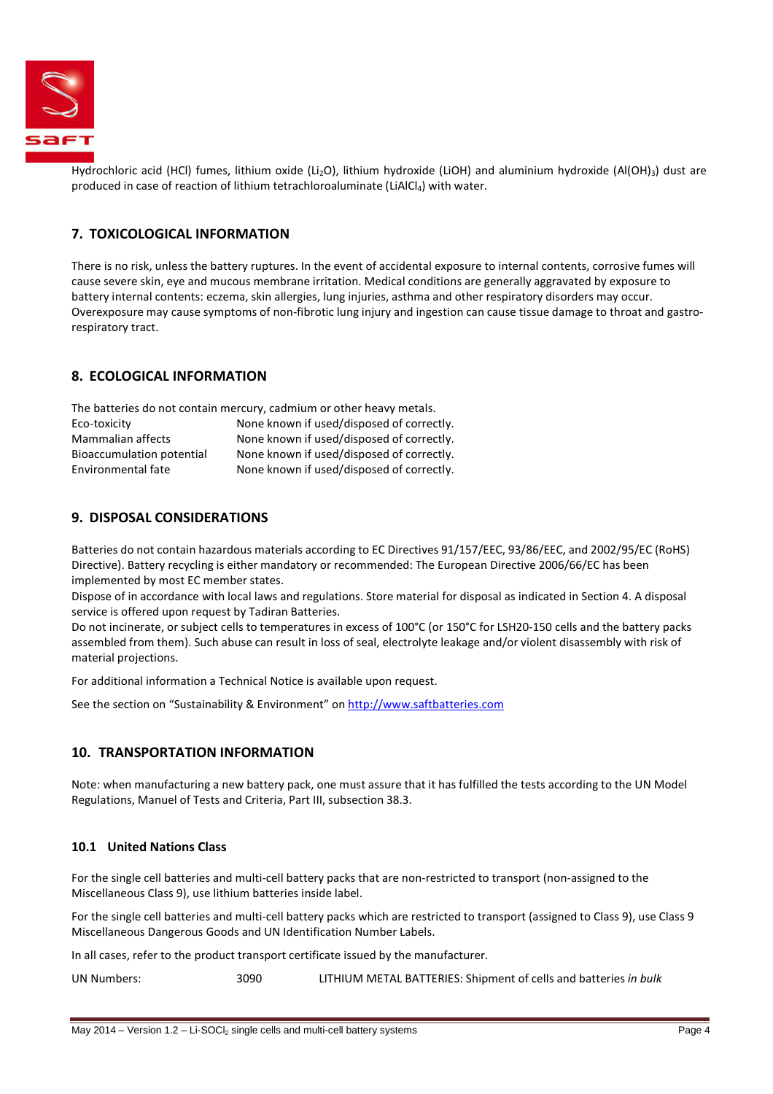

Hydrochloric acid (HCl) fumes, lithium oxide (Li<sub>2</sub>O), lithium hydroxide (LiOH) and aluminium hydroxide (Al(OH)<sub>3</sub>) dust are produced in case of reaction of lithium tetrachloroaluminate (LiAlCl<sub>4</sub>) with water.

#### **7. TOXICOLOGICAL INFORMATION**

There is no risk, unless the battery ruptures. In the event of accidental exposure to internal contents, corrosive fumes will cause severe skin, eye and mucous membrane irritation. Medical conditions are generally aggravated by exposure to battery internal contents: eczema, skin allergies, lung injuries, asthma and other respiratory disorders may occur. Overexposure may cause symptoms of non-fibrotic lung injury and ingestion can cause tissue damage to throat and gastrorespiratory tract.

#### **8. ECOLOGICAL INFORMATION**

The batteries do not contain mercury, cadmium or other heavy metals. Eco-toxicity None known if used/disposed of correctly.

| <b>ELU-LUXILILV</b>       | <u>NOTIE KIJOWIT II USEU/UISDOSEU OF COLLECTIV.</u> |
|---------------------------|-----------------------------------------------------|
| Mammalian affects         | None known if used/disposed of correctly.           |
| Bioaccumulation potential | None known if used/disposed of correctly.           |
| Environmental fate        | None known if used/disposed of correctly.           |

#### **9. DISPOSAL CONSIDERATIONS**

Batteries do not contain hazardous materials according to EC Directives 91/157/EEC, 93/86/EEC, and 2002/95/EC (RoHS) Directive). Battery recycling is either mandatory or recommended: The European Directive 2006/66/EC has been implemented by most EC member states.

Dispose of in accordance with local laws and regulations. Store material for disposal as indicated in Section 4. A disposal service is offered upon request by Tadiran Batteries.

Do not incinerate, or subject cells to temperatures in excess of 100°C (or 150°C for LSH20-150 cells and the battery packs assembled from them). Such abuse can result in loss of seal, electrolyte leakage and/or violent disassembly with risk of material projections.

For additional information a Technical Notice is available upon request.

See the section on "Sustainability & Environment" on http://www.saftbatteries.com

#### **10. TRANSPORTATION INFORMATION**

Note: when manufacturing a new battery pack, one must assure that it has fulfilled the tests according to the UN Model Regulations, Manuel of Tests and Criteria, Part III, subsection 38.3.

#### **10.1 United Nations Class**

For the single cell batteries and multi-cell battery packs that are non-restricted to transport (non-assigned to the Miscellaneous Class 9), use lithium batteries inside label.

For the single cell batteries and multi-cell battery packs which are restricted to transport (assigned to Class 9), use Class 9 Miscellaneous Dangerous Goods and UN Identification Number Labels.

In all cases, refer to the product transport certificate issued by the manufacturer.

UN Numbers: 3090 LITHIUM METAL BATTERIES: Shipment of cells and batteries *in bulk*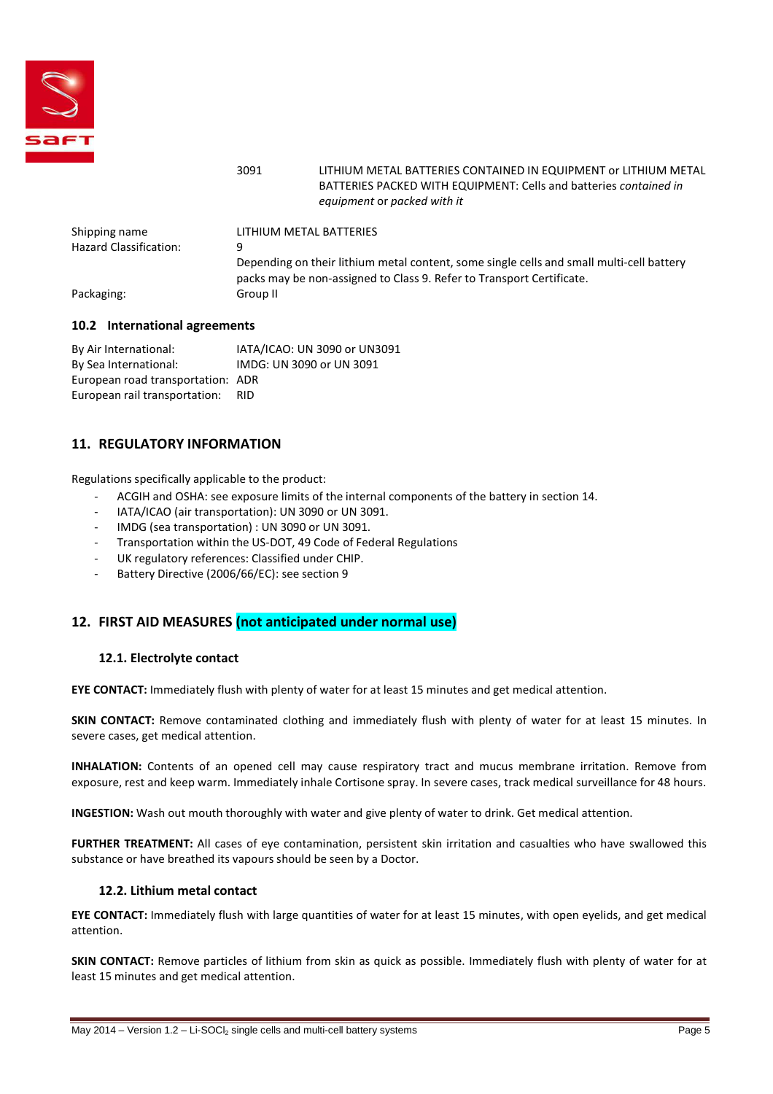

### 3091 LITHIUM METAL BATTERIES CONTAINED IN EQUIPMENT or LITHIUM METAL BATTERIES PACKED WITH EQUIPMENT: Cells and batteries *contained in equipment* or *packed with it*

| Shipping name                 | LITHIUM METAL BATTERIES                                                                                                                                           |
|-------------------------------|-------------------------------------------------------------------------------------------------------------------------------------------------------------------|
| <b>Hazard Classification:</b> | q                                                                                                                                                                 |
|                               | Depending on their lithium metal content, some single cells and small multi-cell battery<br>packs may be non-assigned to Class 9. Refer to Transport Certificate. |
| Packaging:                    | Group II                                                                                                                                                          |
|                               |                                                                                                                                                                   |

#### **10.2 International agreements**

By Air International: IATA/ICAO: UN 3090 or UN3091 By Sea International: IMDG: UN 3090 or UN 3091 European road transportation: ADR European rail transportation: RID

### **11. REGULATORY INFORMATION**

Regulations specifically applicable to the product:

- ACGIH and OSHA: see exposure limits of the internal components of the battery in section 14.
- IATA/ICAO (air transportation): UN 3090 or UN 3091.
- IMDG (sea transportation) : UN 3090 or UN 3091.
- Transportation within the US-DOT, 49 Code of Federal Regulations
- UK regulatory references: Classified under CHIP.
- Battery Directive (2006/66/EC): see section 9

#### **12. FIRST AID MEASURES (not anticipated under normal use)**

#### **12.1. Electrolyte contact**

**EYE CONTACT:** Immediately flush with plenty of water for at least 15 minutes and get medical attention.

**SKIN CONTACT:** Remove contaminated clothing and immediately flush with plenty of water for at least 15 minutes. In severe cases, get medical attention.

**INHALATION:** Contents of an opened cell may cause respiratory tract and mucus membrane irritation. Remove from exposure, rest and keep warm. Immediately inhale Cortisone spray. In severe cases, track medical surveillance for 48 hours.

**INGESTION:** Wash out mouth thoroughly with water and give plenty of water to drink. Get medical attention.

**FURTHER TREATMENT:** All cases of eye contamination, persistent skin irritation and casualties who have swallowed this substance or have breathed its vapours should be seen by a Doctor.

#### **12.2. Lithium metal contact**

**EYE CONTACT:** Immediately flush with large quantities of water for at least 15 minutes, with open eyelids, and get medical attention.

**SKIN CONTACT:** Remove particles of lithium from skin as quick as possible. Immediately flush with plenty of water for at least 15 minutes and get medical attention.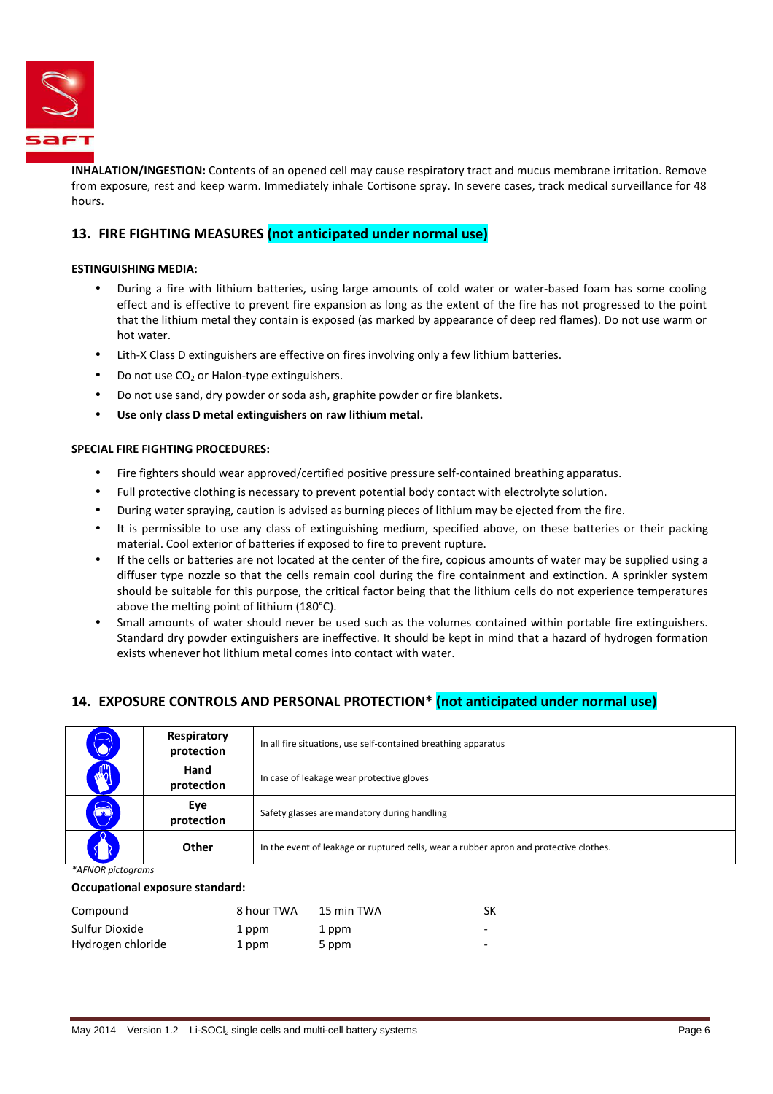

**INHALATION/INGESTION:** Contents of an opened cell may cause respiratory tract and mucus membrane irritation. Remove from exposure, rest and keep warm. Immediately inhale Cortisone spray. In severe cases, track medical surveillance for 48 hours.

#### **13. FIRE FIGHTING MEASURES (not anticipated under normal use)**

#### **ESTINGUISHING MEDIA:**

- During a fire with lithium batteries, using large amounts of cold water or water-based foam has some cooling effect and is effective to prevent fire expansion as long as the extent of the fire has not progressed to the point that the lithium metal they contain is exposed (as marked by appearance of deep red flames). Do not use warm or hot water.
- Lith-X Class D extinguishers are effective on fires involving only a few lithium batteries.
- Do not use  $CO<sub>2</sub>$  or Halon-type extinguishers.
- Do not use sand, dry powder or soda ash, graphite powder or fire blankets.
- **Use only class D metal extinguishers on raw lithium metal.**

#### **SPECIAL FIRE FIGHTING PROCEDURES:**

- Fire fighters should wear approved/certified positive pressure self-contained breathing apparatus.
- Full protective clothing is necessary to prevent potential body contact with electrolyte solution.
- During water spraying, caution is advised as burning pieces of lithium may be ejected from the fire.
- It is permissible to use any class of extinguishing medium, specified above, on these batteries or their packing material. Cool exterior of batteries if exposed to fire to prevent rupture.
- If the cells or batteries are not located at the center of the fire, copious amounts of water may be supplied using a diffuser type nozzle so that the cells remain cool during the fire containment and extinction. A sprinkler system should be suitable for this purpose, the critical factor being that the lithium cells do not experience temperatures above the melting point of lithium (180°C).
- Small amounts of water should never be used such as the volumes contained within portable fire extinguishers. Standard dry powder extinguishers are ineffective. It should be kept in mind that a hazard of hydrogen formation exists whenever hot lithium metal comes into contact with water.

#### **14. EXPOSURE CONTROLS AND PERSONAL PROTECTION\* (not anticipated under normal use)**

| $\widehat{\bullet}$ | Respiratory<br>protection | In all fire situations, use self-contained breathing apparatus                         |
|---------------------|---------------------------|----------------------------------------------------------------------------------------|
|                     | Hand<br>protection        | In case of leakage wear protective gloves                                              |
| $\bigcirc$          | Eye<br>protection         | Safety glasses are mandatory during handling                                           |
|                     | Other                     | In the event of leakage or ruptured cells, wear a rubber apron and protective clothes. |

*\*AFNOR pictograms* 

#### **Occupational exposure standard:**

| Compound          | 8 hour TWA | 15 min TWA | SК                       |
|-------------------|------------|------------|--------------------------|
| Sulfur Dioxide    | 1 ppm      | 1 ppm      | -                        |
| Hydrogen chloride | 1 ppm      | 5 ppm      | $\overline{\phantom{0}}$ |